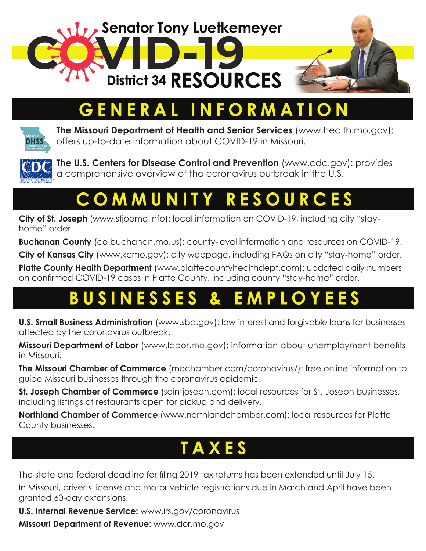

# ENERAL INFORMATION



**The Missouri Department of Health and Senior Services** [\(www.health.mo.gov\)](http://www.health.mo.gov): offers up-to-date information about COVID-19 in Missouri.



**The U.S. Centers for Disease Control and Prevention** [\(www.cdc.gov](http://www.cdc.gov)): provides a comprehensive overview of the coronavirus outbreak in the U.S.

### COMMUNITY **RESOURC**

**City of St. Joseph** [\(www.stjoemo.info](https://www.stjoemo.info/)): local information on COVID-19, including city "stayhome" order.

**Buchanan County** [\(co.buchanan.mo.us\)](http://co.buchanan.mo.us): county-level information and resources on COVID-19.

**City of Kansas City** ([www.kcmo.gov\)](http://www.kcmo.gov): city webpage, including FAQs on city "stay-home" order.

**Platte County Health Department** ([www.plattecountyhealthdept.com](https://www.plattecountyhealthdept.com)): updated daily numbers on confirmed COVID-19 cases in Platte County, including county "stay-home" order.

# **BUSINESSES**

**U.S. Small Business Administration** ([www.sba.gov\)](http://www.sba.gov): low-interest and forgivable loans for businesses affected by the coronavirus outbreak.

**Missouri Department of Labor** [\(www.labor.mo.gov](http://www.labor.mo.gov)): information about unemployment benefits in Missouri.

**The Missouri Chamber of Commerce** ([mochamber.com/coronavirus/\)](https://mochamber.com/coronavirus/): free online information to guide Missouri businesses through the coronavirus epidemic.

**St. Joseph Chamber of Commerce** ([saintjoseph.com\)](https://saintjoseph.com): local resources for St. Joseph businesses, including listings of restaurants open for pickup and delivery.

**Northland Chamber of Commerce** ([www.northlandchamber.com](https://northlandchamber.com)): local resources for Platte County businesses.

# TAXES

The state and federal deadline for filing 2019 tax returns has been extended until July 15.

In Missouri, driver's license and motor vehicle registrations due in March and April have been granted 60-day extensions.

**U.S. Internal Revenue Service:** [www.irs.gov/coronavirus](http://www.irs.gov/coronavirus)

**Missouri Department of Revenue:** [www.dor.mo.gov](http://dor.mo.gov)